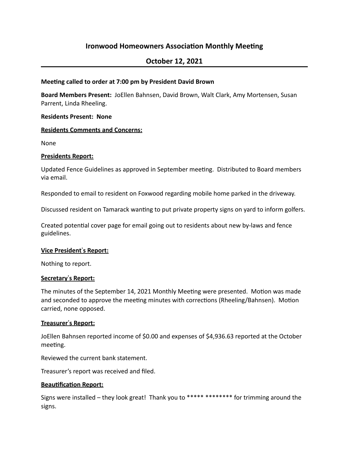# **Ironwood Homeowners Association Monthly Meeting**

## **October 12, 2021**

### **Meeting called to order at 7:00 pm by President David Brown**

**Board Members Present:** JoEllen Bahnsen, David Brown, Walt Clark, Amy Mortensen, Susan Parrent, Linda Rheeling.

#### **Residents Present: None**

#### **Residents Comments and Concerns:**

None

#### **Presidents Report:**

Updated Fence Guidelines as approved in September meeting. Distributed to Board members via email.

Responded to email to resident on Foxwood regarding mobile home parked in the driveway.

Discussed resident on Tamarack wanting to put private property signs on yard to inform golfers.

Created potential cover page for email going out to residents about new by-laws and fence guidelines.

#### **Vice President's Report:**

Nothing to report.

#### **Secretary**!**s Report:**

The minutes of the September 14, 2021 Monthly Meeting were presented. Motion was made and seconded to approve the meeting minutes with corrections (Rheeling/Bahnsen). Motion carried, none opposed.

#### **Treasurer's Report:**

JoEllen Bahnsen reported income of \$0.00 and expenses of \$4,936.63 reported at the October meeting.

Reviewed the current bank statement.

Treasurer's report was received and filed.

## **Beautification Report:**

Signs were installed  $-$  they look great! Thank you to \*\*\*\*\*\*\*\*\*\*\*\*\*\*\* for trimming around the signs.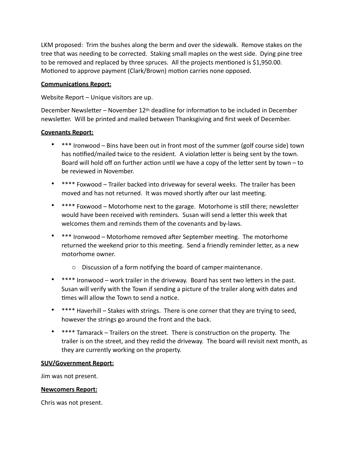LKM proposed: Trim the bushes along the berm and over the sidewalk. Remove stakes on the tree that was needing to be corrected. Staking small maples on the west side. Dying pine tree to be removed and replaced by three spruces. All the projects mentioned is \$1,950.00. Motioned to approve payment (Clark/Brown) motion carries none opposed.

## **Communications Report:**

Website Report  $-$  Unique visitors are up.

December Newsletter – November  $12<sup>th</sup>$  deadline for information to be included in December newsletter. Will be printed and mailed between Thanksgiving and first week of December.

## **Covenants Report:**

- \*\*\* Ironwood Bins have been out in front most of the summer (golf course side) town has notified/mailed twice to the resident. A violation letter is being sent by the town. Board will hold off on further action until we have a copy of the letter sent by town  $-$  to be reviewed in November.
- \*\*\*\* Foxwood Trailer backed into driveway for several weeks. The trailer has been moved and has not returned. It was moved shortly after our last meeting.
- \*\*\*\* Foxwood Motorhome next to the garage. Motorhome is still there; newsletter would have been received with reminders. Susan will send a letter this week that welcomes them and reminds them of the covenants and by-laws.
- \*\*\* Ironwood Motorhome removed after September meeting. The motorhome returned the weekend prior to this meeting. Send a friendly reminder letter, as a new motorhome owner.
	- $\circ$  Discussion of a form notifying the board of camper maintenance.
- \*\*\*\* Ironwood work trailer in the driveway. Board has sent two letters in the past. Susan will verify with the Town if sending a picture of the trailer along with dates and times will allow the Town to send a notice.
- \*\*\*\* Haverhill Stakes with strings. There is one corner that they are trying to seed, however the strings go around the front and the back.
- \*\*\*\* Tamarack Trailers on the street. There is construction on the property. The trailer is on the street, and they redid the driveway. The board will revisit next month, as they are currently working on the property.

## **SUV/Government Report:**

Jim was not present.

## **Newcomers Report:**

Chris was not present.